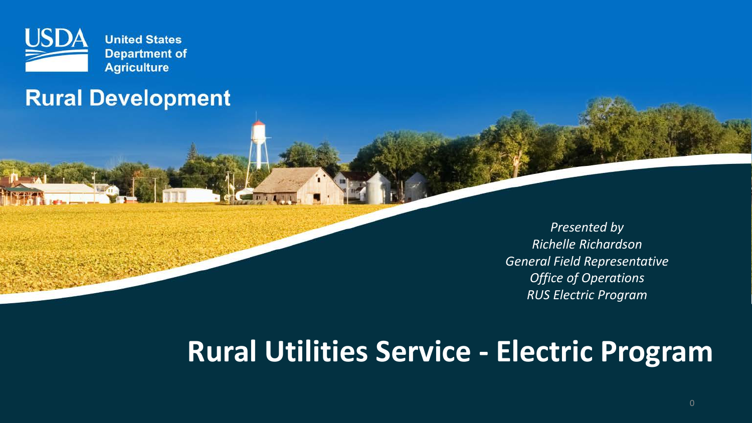

### **Rural Development**

*Presented by Richelle Richardson General Field Representative Office of Operations RUS Electric Program*

# **Rural Utilities Service - Electric Program**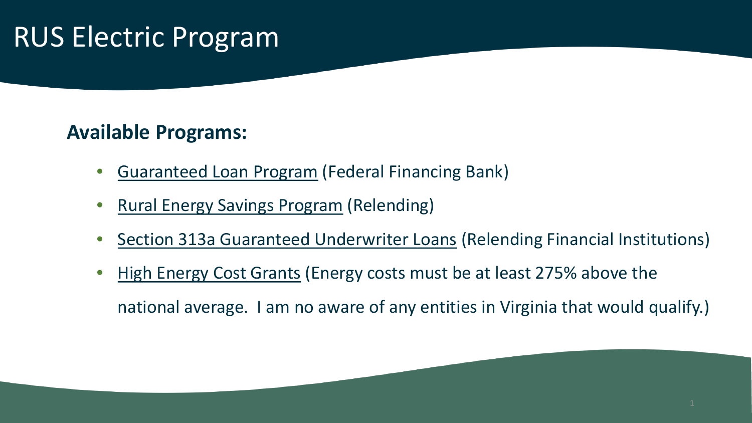# RUS Electric Program

### **Available Programs:**

- Guaranteed Loan Program (Federal Financing Bank)
- Rural Energy Savings Program (Relending)
- Section 313a Guaranteed Underwriter Loans (Relending Financial Institutions)
- High Energy Cost Grants (Energy costs must be at least 275% above the national average. I am no aware of any entities in Virginia that would qualify.)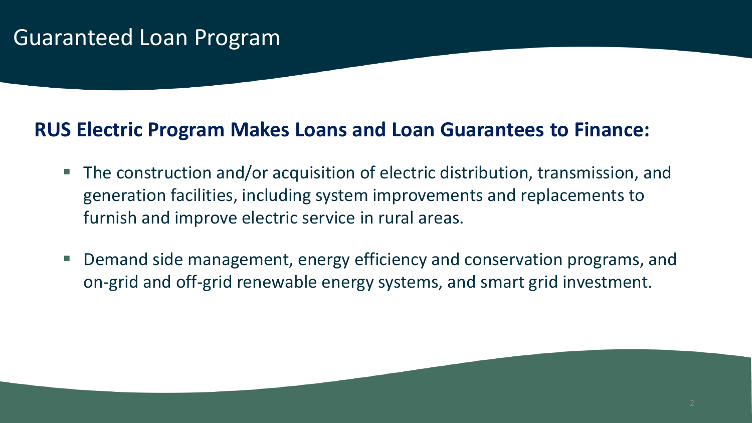#### **RUS Electric Program Makes Loans and Loan Guarantees to Finance:**

- The construction and/or acquisition of electric distribution, transmission, and generation facilities, including system improvements and replacements to furnish and improve electric service in rural areas.
- Demand side management, energy efficiency and conservation programs, and on-grid and off-grid renewable energy systems, and smart grid investment.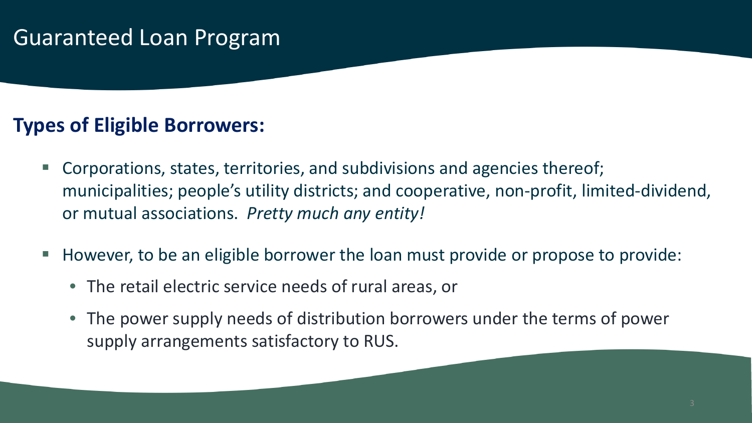#### **Types of Eligible Borrowers:**

- Corporations, states, territories, and subdivisions and agencies thereof; municipalities; people's utility districts; and cooperative, non-profit, limited-dividend, or mutual associations. *Pretty much any entity!*
- However, to be an eligible borrower the loan must provide or propose to provide:
	- The retail electric service needs of rural areas, or
	- The power supply needs of distribution borrowers under the terms of power supply arrangements satisfactory to RUS.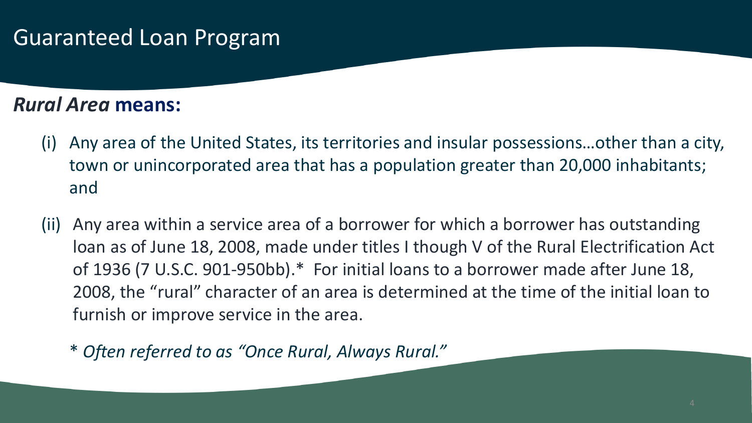#### *Rural Area* **means:**

- (i) Any area of the United States, its territories and insular possessions…other than a city, town or unincorporated area that has a population greater than 20,000 inhabitants; and
- (ii) Any area within a service area of a borrower for which a borrower has outstanding loan as of June 18, 2008, made under titles I though V of the Rural Electrification Act of 1936 (7 U.S.C. 901-950bb).\* For initial loans to a borrower made after June 18, 2008, the "rural" character of an area is determined at the time of the initial loan to furnish or improve service in the area.
	- \* *Often referred to as "Once Rural, Always Rural."*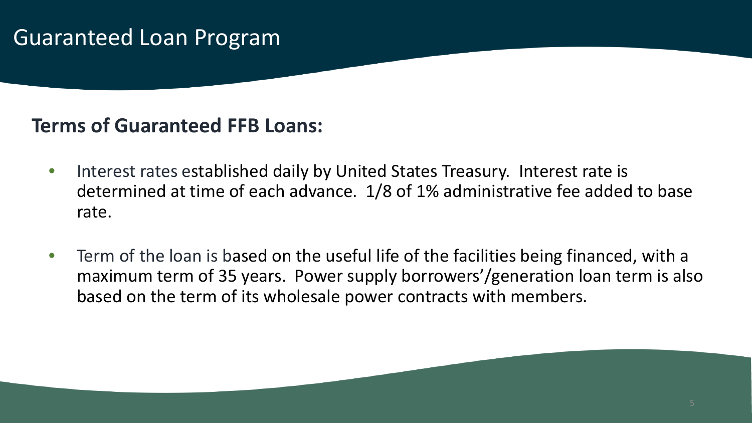#### **Terms of Guaranteed FFB Loans:**

- Interest rates established daily by United States Treasury. Interest rate is determined at time of each advance. 1/8 of 1% administrative fee added to base rate.
- Term of the loan is based on the useful life of the facilities being financed, with a maximum term of 35 years. Power supply borrowers'/generation loan term is also based on the term of its wholesale power contracts with members.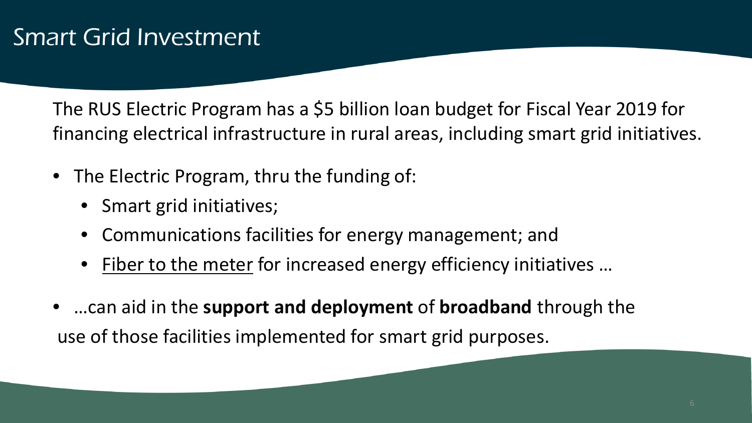The RUS Electric Program has a \$5 billion loan budget for Fiscal Year 2019 for financing electrical infrastructure in rural areas, including smart grid initiatives.

- The Electric Program, thru the funding of:
	- Smart grid initiatives;
	- Communications facilities for energy management; and
	- Fiber to the meter for increased energy efficiency initiatives ...
- …can aid in the **support and deployment** of **broadband** through the use of those facilities implemented for smart grid purposes.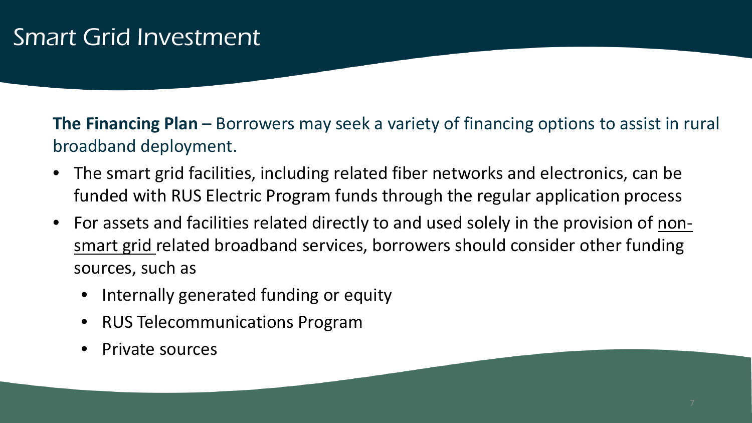**The Financing Plan** – Borrowers may seek a variety of financing options to assist in rural broadband deployment.

- The smart grid facilities, including related fiber networks and electronics, can be funded with RUS Electric Program funds through the regular application process
- For assets and facilities related directly to and used solely in the provision of nonsmart grid related broadband services, borrowers should consider other funding sources, such as
	- Internally generated funding or equity
	- RUS Telecommunications Program
	- Private sources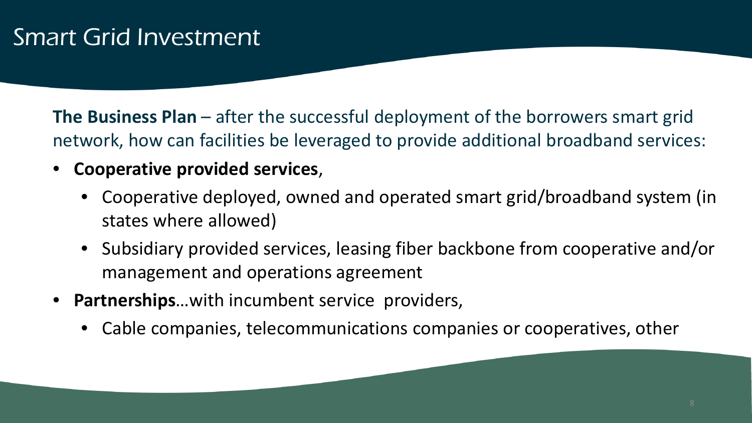**The Business Plan** – after the successful deployment of the borrowers smart grid network, how can facilities be leveraged to provide additional broadband services:

- **Cooperative provided services**,
	- Cooperative deployed, owned and operated smart grid/broadband system (in states where allowed)
	- Subsidiary provided services, leasing fiber backbone from cooperative and/or management and operations agreement
- **Partnerships**…with incumbent service providers,
	- Cable companies, telecommunications companies or cooperatives, other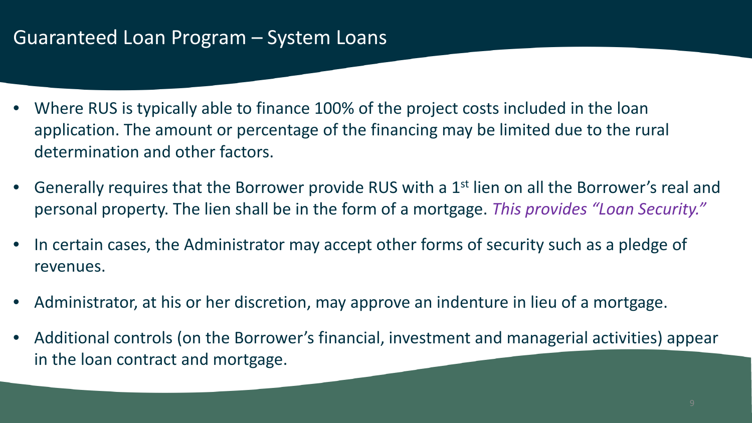#### Guaranteed Loan Program – System Loans

- Where RUS is typically able to finance 100% of the project costs included in the loan application. The amount or percentage of the financing may be limited due to the rural determination and other factors.
- Generally requires that the Borrower provide RUS with a 1<sup>st</sup> lien on all the Borrower's real and personal property. The lien shall be in the form of a mortgage. *This provides "Loan Security."*
- In certain cases, the Administrator may accept other forms of security such as a pledge of revenues.
- Administrator, at his or her discretion, may approve an indenture in lieu of a mortgage.
- Additional controls (on the Borrower's financial, investment and managerial activities) appear in the loan contract and mortgage.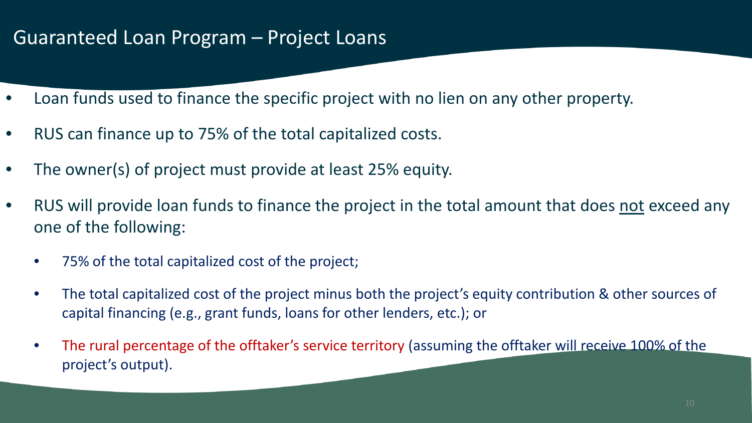#### Guaranteed Loan Program – Project Loans

- Loan funds used to finance the specific project with no lien on any other property.
- RUS can finance up to 75% of the total capitalized costs.
- The owner(s) of project must provide at least 25% equity.
- RUS will provide loan funds to finance the project in the total amount that does not exceed any one of the following:
	- 75% of the total capitalized cost of the project;
	- The total capitalized cost of the project minus both the project's equity contribution & other sources of capital financing (e.g., grant funds, loans for other lenders, etc.); or
	- The rural percentage of the offtaker's service territory (assuming the offtaker will receive 100% of the project's output).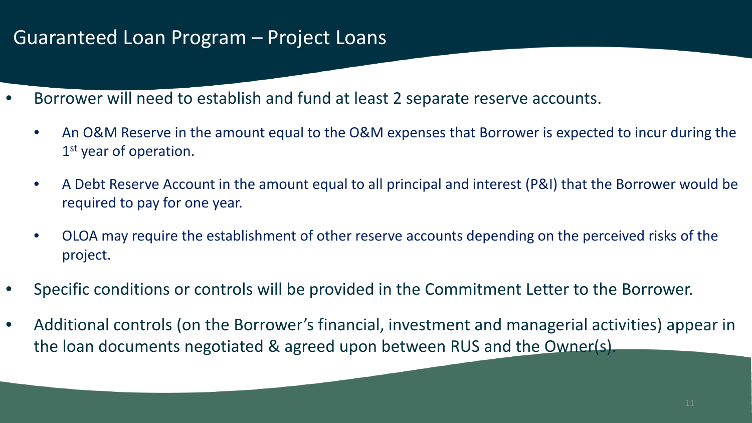#### Guaranteed Loan Program – Project Loans

- Borrower will need to establish and fund at least 2 separate reserve accounts.
	- An O&M Reserve in the amount equal to the O&M expenses that Borrower is expected to incur during the 1st year of operation.
	- A Debt Reserve Account in the amount equal to all principal and interest (P&I) that the Borrower would be required to pay for one year.
	- OLOA may require the establishment of other reserve accounts depending on the perceived risks of the project.
- Specific conditions or controls will be provided in the Commitment Letter to the Borrower.
- Additional controls (on the Borrower's financial, investment and managerial activities) appear in the loan documents negotiated & agreed upon between RUS and the Owner(s).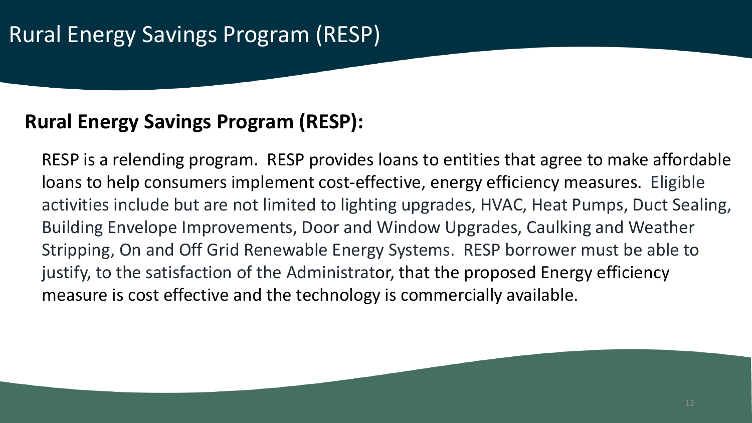#### **Rural Energy Savings Program (RESP):**

RESP is a relending program. RESP provides loans to entities that agree to make affordable loans to help consumers implement cost-effective, energy efficiency measures. Eligible activities include but are not limited to lighting upgrades, HVAC, Heat Pumps, Duct Sealing, Building Envelope Improvements, Door and Window Upgrades, Caulking and Weather Stripping, On and Off Grid Renewable Energy Systems. RESP borrower must be able to justify, to the satisfaction of the Administrator, that the proposed Energy efficiency measure is cost effective and the technology is commercially available.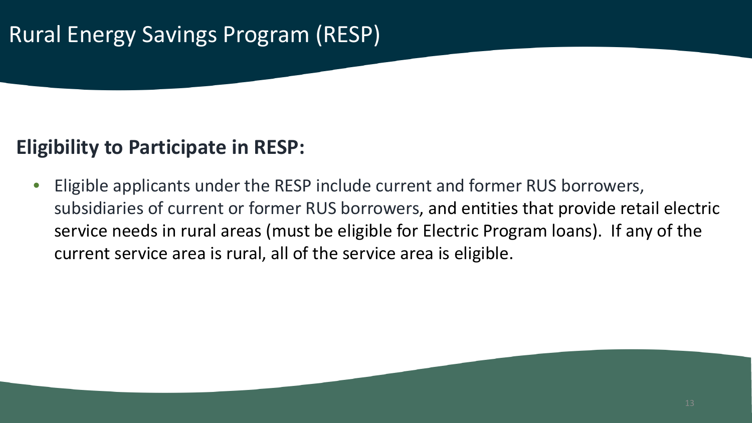## Rural Energy Savings Program (RESP)

#### **Eligibility to Participate in RESP:**

• Eligible applicants under the RESP include current and former RUS borrowers, subsidiaries of current or former RUS borrowers, and entities that provide retail electric service needs in rural areas (must be eligible for Electric Program loans). If any of the current service area is rural, all of the service area is eligible.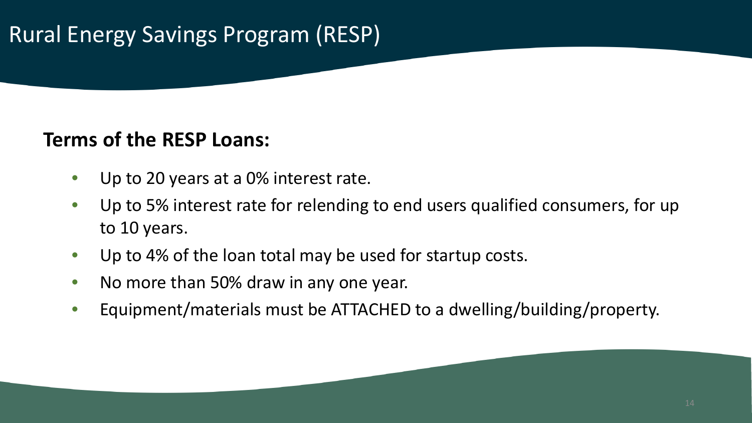## Rural Energy Savings Program (RESP)

#### **Terms of the RESP Loans:**

- Up to 20 years at a 0% interest rate.
- Up to 5% interest rate for relending to end users qualified consumers, for up to 10 years.
- Up to 4% of the loan total may be used for startup costs.
- No more than 50% draw in any one year.
- Equipment/materials must be ATTACHED to a dwelling/building/property.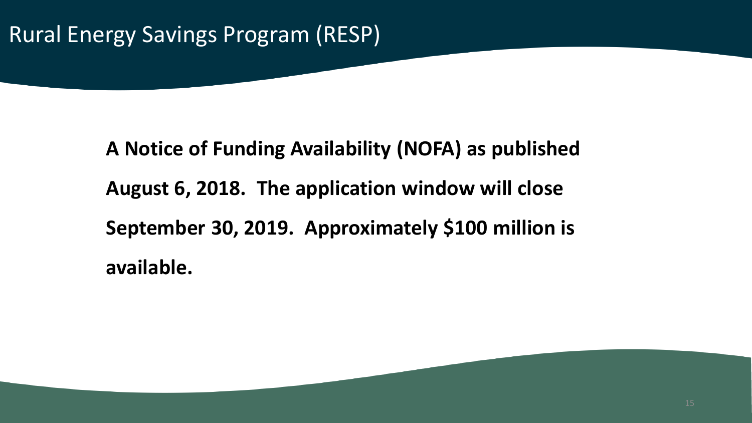## Rural Energy Savings Program (RESP)

**A Notice of Funding Availability (NOFA) as published August 6, 2018. The application window will close September 30, 2019. Approximately \$100 million is available.**